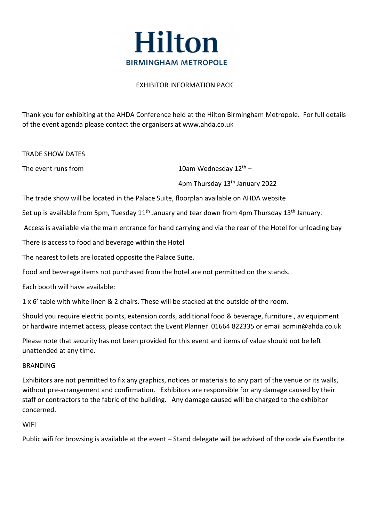

# EXHIBITOR INFORMATION PACK

Thank you for exhibiting at the AHDA Conference held at the Hilton Birmingham Metropole. For full details of the event agenda please contact the organisers at www.ahda.co.uk

TRADE SHOW DATES

The event runs from  $10$ am Wednesday  $12<sup>th</sup>$  -

4pm Thursday 13<sup>th</sup> January 2022

The trade show will be located in the Palace Suite, floorplan available on AHDA website

Set up is available from 5pm, Tuesday 11<sup>th</sup> January and tear down from 4pm Thursday 13<sup>th</sup> January.

Access is available via the main entrance for hand carrying and via the rear of the Hotel for unloading bay

There is access to food and beverage within the Hotel

The nearest toilets are located opposite the Palace Suite.

Food and beverage items not purchased from the hotel are not permitted on the stands.

Each booth will have available:

1 x 6' table with white linen & 2 chairs. These will be stacked at the outside of the room.

Should you require electric points, extension cords, additional food & beverage, furniture , av equipment or hardwire internet access, please contact the Event Planner 01664 822335 or email admin@ahda.co.uk

Please note that security has not been provided for this event and items of value should not be left unattended at any time.

# **BRANDING**

Exhibitors are not permitted to fix any graphics, notices or materials to any part of the venue or its walls, without pre-arrangement and confirmation. Exhibitors are responsible for any damage caused by their staff or contractors to the fabric of the building. Any damage caused will be charged to the exhibitor concerned.

# **WIFI**

Public wifi for browsing is available at the event – Stand delegate will be advised of the code via Eventbrite.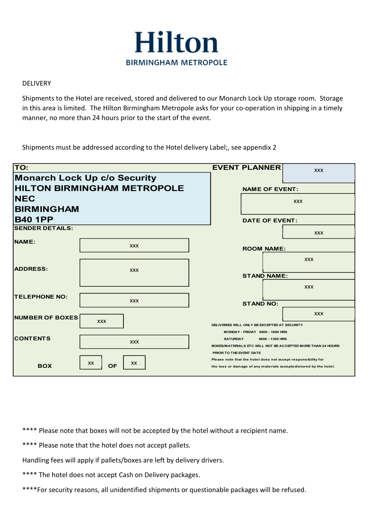

## DELIVERY

|                                     | <b>Hilton</b>                                                                                                                                                                                                                                                                           |                                                                                 |                                                                                                   |  |                                                                                                                                    |
|-------------------------------------|-----------------------------------------------------------------------------------------------------------------------------------------------------------------------------------------------------------------------------------------------------------------------------------------|---------------------------------------------------------------------------------|---------------------------------------------------------------------------------------------------|--|------------------------------------------------------------------------------------------------------------------------------------|
|                                     | <b>BIRMINGHAM METROPOLE</b>                                                                                                                                                                                                                                                             |                                                                                 |                                                                                                   |  |                                                                                                                                    |
| <b>DELIVERY</b>                     |                                                                                                                                                                                                                                                                                         |                                                                                 |                                                                                                   |  |                                                                                                                                    |
|                                     | Shipments to the Hotel are received, stored and delivered to our Monarch Lock Up storage room. Storage<br>in this area is limited. The Hilton Birmingham Metropole asks for your co-operation in shipping in a timely<br>manner, no more than 24 hours prior to the start of the event. |                                                                                 |                                                                                                   |  |                                                                                                                                    |
|                                     | Shipments must be addressed according to the Hotel delivery Label;, see appendix 2                                                                                                                                                                                                      |                                                                                 |                                                                                                   |  |                                                                                                                                    |
| TO:                                 |                                                                                                                                                                                                                                                                                         |                                                                                 | <b>EVENT PLANNER</b>                                                                              |  | <b>XXX</b>                                                                                                                         |
|                                     | <b>Monarch Lock Up c/o Security</b>                                                                                                                                                                                                                                                     |                                                                                 |                                                                                                   |  |                                                                                                                                    |
| <b>HILTON BIRMINGHAM METROPOLE</b>  |                                                                                                                                                                                                                                                                                         |                                                                                 | <b>NAME OF EVENT:</b><br><b>XXX</b>                                                               |  |                                                                                                                                    |
| <b>NEC</b>                          |                                                                                                                                                                                                                                                                                         |                                                                                 |                                                                                                   |  |                                                                                                                                    |
| <b>BIRMINGHAM</b><br><b>B40 1PP</b> |                                                                                                                                                                                                                                                                                         |                                                                                 | <b>DATE OF EVENT:</b>                                                                             |  |                                                                                                                                    |
| <b>SENDER DETAILS:</b>              |                                                                                                                                                                                                                                                                                         |                                                                                 |                                                                                                   |  | <b>XXX</b>                                                                                                                         |
| NAME:                               |                                                                                                                                                                                                                                                                                         |                                                                                 |                                                                                                   |  |                                                                                                                                    |
|                                     | <b>XXX</b>                                                                                                                                                                                                                                                                              |                                                                                 | <b>ROOM NAME:</b>                                                                                 |  |                                                                                                                                    |
| <b>ADDRESS:</b>                     | <b>XXX</b>                                                                                                                                                                                                                                                                              |                                                                                 |                                                                                                   |  | <b>XXX</b>                                                                                                                         |
|                                     |                                                                                                                                                                                                                                                                                         |                                                                                 | <b>STAND NAME:</b>                                                                                |  |                                                                                                                                    |
|                                     |                                                                                                                                                                                                                                                                                         |                                                                                 |                                                                                                   |  | <b>XXX</b>                                                                                                                         |
| <b>TELEPHONE NO:</b>                | <b>XXX</b>                                                                                                                                                                                                                                                                              |                                                                                 |                                                                                                   |  |                                                                                                                                    |
|                                     |                                                                                                                                                                                                                                                                                         |                                                                                 | <b>STAND NO:</b>                                                                                  |  |                                                                                                                                    |
| NUMBER OF BOXES                     | <b>XXX</b>                                                                                                                                                                                                                                                                              |                                                                                 |                                                                                                   |  | <b>XXX</b>                                                                                                                         |
|                                     |                                                                                                                                                                                                                                                                                         | DELIVERIES WILL ONLY BE EXCEPTED AT SECURITY<br>MONDAY - FRIDAY 0600 - 1600 HRS |                                                                                                   |  |                                                                                                                                    |
| <b>CONTENTS</b>                     | <b>XXX</b>                                                                                                                                                                                                                                                                              |                                                                                 | <b>SATURDAY</b><br>0600 - 1300 HRS<br>BOXES/MATERIALS ETC WILL NOT BE ACCEPTED MORE THAN 24 HOURS |  |                                                                                                                                    |
|                                     |                                                                                                                                                                                                                                                                                         |                                                                                 | PRIOR TO THE EVENT DATE                                                                           |  |                                                                                                                                    |
| <b>BOX</b>                          | XX<br>XX<br><b>OF</b>                                                                                                                                                                                                                                                                   |                                                                                 |                                                                                                   |  | Please note that the hotel does not accept responsibility for<br>the loss or damage of any materials accepted/stored by the hotel. |
|                                     |                                                                                                                                                                                                                                                                                         |                                                                                 |                                                                                                   |  |                                                                                                                                    |

\*\*\*\* Please note that boxes will not be accepted by the hotel without a recipient name.

\*\*\*\* Please note that the hotel does not accept pallets.

Handling fees will apply if pallets/boxes are left by delivery drivers.

\*\*\*\* The hotel does not accept Cash on Delivery packages.

\*\*\*\*For security reasons, all unidentified shipments or questionable packages will be refused.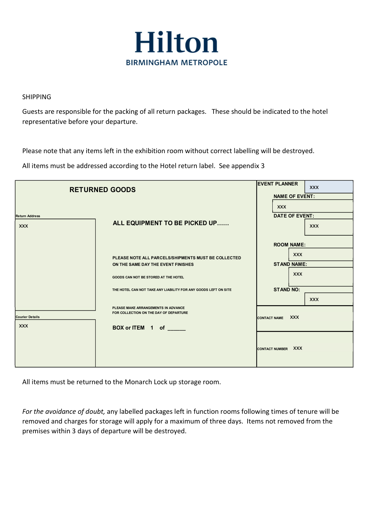

# SHIPPING

Guests are responsible for the packing of all return packages. These should be indicated to the hotel representative before your departure.

Please note that any items left in the exhibition room without correct labelling will be destroyed.

All items must be addressed according to the Hotel return label. See appendix 3

| <b>RETURNED GOODS</b>                | <b>EVENT PLANNER</b><br><b>XXX</b><br><b>NAME OF EVENT:</b>                                                                                                                                          |                                                                                                       |  |  |
|--------------------------------------|------------------------------------------------------------------------------------------------------------------------------------------------------------------------------------------------------|-------------------------------------------------------------------------------------------------------|--|--|
| <b>Return Address</b><br><b>XXX</b>  | ALL EQUIPMENT TO BE PICKED UP                                                                                                                                                                        | <b>XXX</b><br><b>DATE OF EVENT:</b><br><b>XXX</b>                                                     |  |  |
|                                      | PLEASE NOTE ALL PARCELS/SHIPMENTS MUST BE COLLECTED<br>ON THE SAME DAY THE EVENT FINISHES<br>GOODS CAN NOT BE STORED AT THE HOTEL<br>THE HOTEL CAN NOT TAKE ANY LIABILITY FOR ANY GOODS LEFT ON SITE | <b>ROOM NAME:</b><br><b>XXX</b><br><b>STAND NAME:</b><br><b>XXX</b><br><b>STAND NO:</b><br><b>XXX</b> |  |  |
| <b>Courier Details</b><br><b>XXX</b> | PLEASE MAKE ARRANGEMENTS IN ADVANCE<br>FOR COLLECTION ON THE DAY OF DEPARTURE<br>BOX or ITEM 1 of _____                                                                                              | CONTACT NAME XXX                                                                                      |  |  |
|                                      |                                                                                                                                                                                                      | <b>XXX</b><br><b>CONTACT NUMBER</b>                                                                   |  |  |

All items must be returned to the Monarch Lock up storage room.

For the avoidance of doubt, any labelled packages left in function rooms following times of tenure will be removed and charges for storage will apply for a maximum of three days. Items not removed from the premises within 3 days of departure will be destroyed.